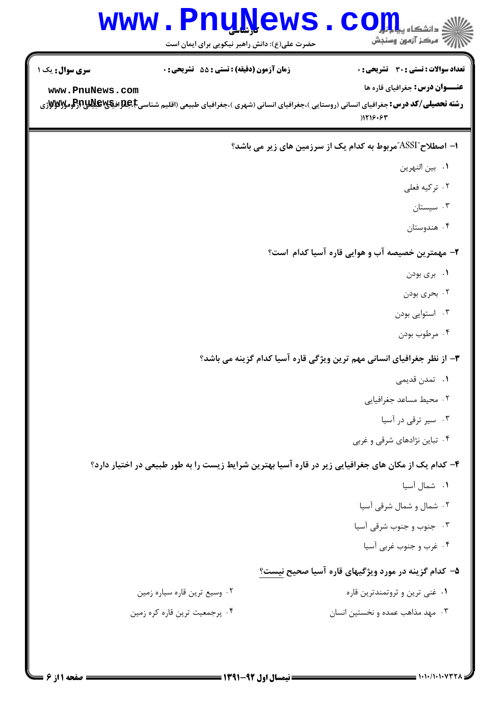| <b>WWW</b>             | <b>Univem</b><br>حضرت علی(ع): دانش راهبر نیکویی برای ایمان است                                      | د دانشکاه پ <b>یا ب<sup>ا</sup> تو</b><br>رِ آزمون وسنجش    |
|------------------------|-----------------------------------------------------------------------------------------------------|-------------------------------------------------------------|
| <b>سری سوال :</b> یک ۱ | زمان آزمون (دقيقه) : تستى : 55 تشريحى : 0                                                           | تعداد سوالات : تستي : 30 - تشريحي : 0                       |
| www.PnuNews.com        |                                                                                                     | <b>عنـــوان درس:</b> جغرافیای قاره ها<br>) 119.97           |
|                        |                                                                                                     | ا– اصطلاح "ASSI"مربوط به کدام یک از سرزمین های زیر می باشد؟ |
|                        |                                                                                                     | ٠١ بين النهرين                                              |
|                        |                                                                                                     | ۰۲ ترکیه فعلی                                               |
|                        |                                                                                                     | ۰۳ سیستان                                                   |
|                        |                                                                                                     | ۰۴ هندوستان                                                 |
|                        |                                                                                                     | ۲- مهمترین خصیصه آب و هوایی قاره آسیا کدام است؟             |
|                        |                                                                                                     | ۰۱ بری بودن                                                 |
|                        |                                                                                                     | ۰۲ بحری بودن                                                |
|                        |                                                                                                     | ۰۳ استوایی بودن                                             |
|                        |                                                                                                     | ۰۴ مرطوب بودن                                               |
|                        | ۳- از نظر جغرافیای انسانی مهم ترین ویژگی قاره آسیا کدام گزینه می باشد؟                              |                                                             |
|                        |                                                                                                     | <b>۱.</b> تمدن قدیمی                                        |
|                        |                                                                                                     | ٠٢ محيط مساعد جغرافيايي                                     |
|                        |                                                                                                     | ۰۳ سیر ترقی در آسیا                                         |
|                        |                                                                                                     | ۰۴ تباین نژادهای شرقی و غربی                                |
|                        | ۴– کدام یک از مکان های جغرافیایی زیر در قاره آسیا بهترین شرایط زیست را به طور طبیعی در اختیار دارد؟ |                                                             |
|                        |                                                                                                     | ٠١ شمال آسيا                                                |
|                        |                                                                                                     | ۰۲ شمال و شمال شرقی آسیا                                    |
|                        |                                                                                                     | ۰۳ جنوب و جنوب شرقی آسیا                                    |
|                        |                                                                                                     | ۰۴ غرب و جنوب غربی آسیا                                     |
|                        |                                                                                                     | ۵– کدام گزینه در مورد ویژگیهای قاره آسیا صحیح نیست؟         |
|                        | ۰۲ وسیع ترین قاره سیاره زمین                                                                        | ۰۱ غنی ترین و ثروتمندترین قاره                              |
|                        | ۰۴ پرجمعیت ترین قاره کره زمین                                                                       | ۰۳ مهد مذاهب عمده و نخستین انسان                            |
|                        |                                                                                                     |                                                             |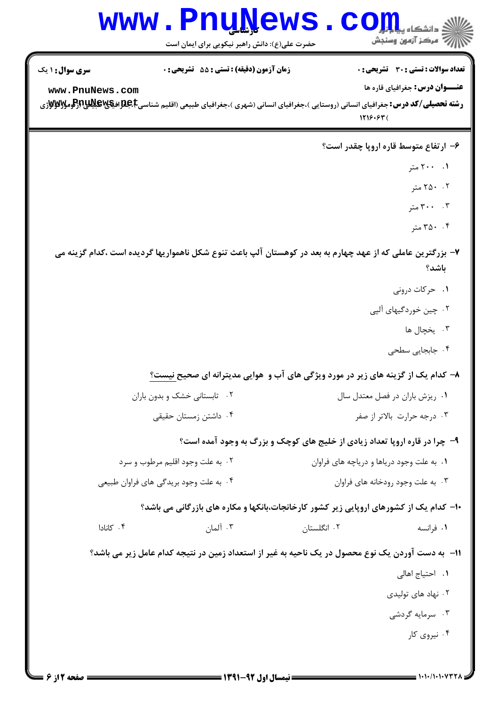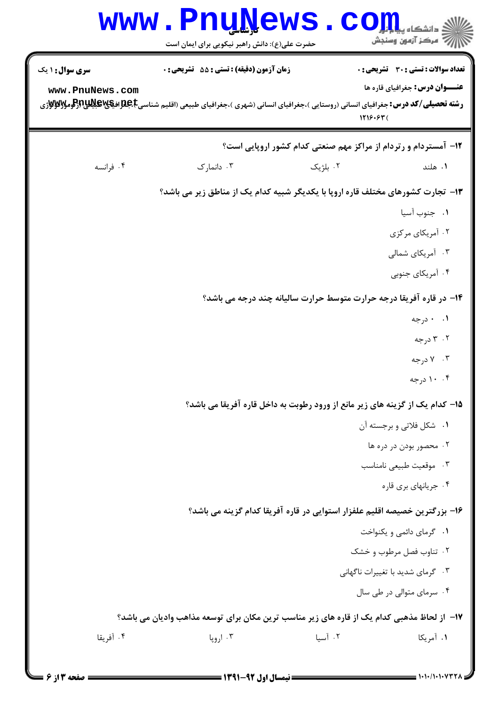|                                                                                 | <b>WWW.PnuNews</b><br>حضرت علی(ع): دانش راهبر نیکویی برای ایمان است                                                         |          | $\bullet$ $\text{CO}$ in $\bullet$<br>7' مرڪز آزمون وسنڊش                    |  |
|---------------------------------------------------------------------------------|-----------------------------------------------------------------------------------------------------------------------------|----------|------------------------------------------------------------------------------|--|
| <b>سری سوال :</b> ۱ یک                                                          | <b>زمان آزمون (دقیقه) : تستی : 55 تشریحی : 0</b>                                                                            |          | <b>تعداد سوالات : تستی : 30 ٪ تشریحی : 0</b>                                 |  |
| www.PnuNews.com                                                                 | <b>رشته تحصیلی/کد درس:</b> جغرافیای انسانی (روستایی )،جغرافیای انسانی (شهری )،جغرافیای طبیعی (اقلیم شناسیE،B،B،B،B،B ایلایا |          | <b>عنـــوان درس:</b> جغرافیای قاره ها<br>1719.97(                            |  |
|                                                                                 |                                                                                                                             |          | <b>۱۲- آمستردام و رتردام از مراکز مهم صنعتی کدام کشور اروپایی است؟</b>       |  |
| ۰۴ فرانسه                                                                       | ۰۳ دانمارک                                                                                                                  | ۰۲ بلژیک | ۰۱ هلند                                                                      |  |
| ۱۳- تجارت کشورهای مختلف قاره اروپا با یکدیگر شبیه کدام یک از مناطق زیر می باشد؟ |                                                                                                                             |          |                                                                              |  |
|                                                                                 |                                                                                                                             |          | ٠١ جنوب آسيا                                                                 |  |
|                                                                                 |                                                                                                                             |          | ۰۲ آمریکای مرکزی                                                             |  |
|                                                                                 |                                                                                                                             |          | ۰۳ آمریکای شمالی                                                             |  |
|                                                                                 |                                                                                                                             |          | ۰۴ آمریکای جنوبی                                                             |  |
|                                                                                 |                                                                                                                             |          | ۱۴- در قاره آفریقا درجه حرارت متوسط حرارت سالیانه چند درجه می باشد؟          |  |
|                                                                                 |                                                                                                                             |          | ۰۱ ۰ درجه                                                                    |  |
|                                                                                 |                                                                                                                             |          | ۰۲ درجه                                                                      |  |
|                                                                                 |                                                                                                                             |          | ۰۳ درجه                                                                      |  |
|                                                                                 |                                                                                                                             |          | ۰. ۱۰ درجه                                                                   |  |
|                                                                                 |                                                                                                                             |          | ۱۵– کدام یک از گزینه های زیر مانع از ورود رطوبت به داخل قاره آفریقا می باشد؟ |  |
|                                                                                 |                                                                                                                             |          | ۰۱ شکل فلاتی و برجسته آن                                                     |  |
|                                                                                 |                                                                                                                             |          | ۰۲ محصور بودن در دره ها                                                      |  |
|                                                                                 |                                                                                                                             |          | ۰۳ موقعیت طبیعی نامناسب                                                      |  |
|                                                                                 |                                                                                                                             |          | ۰۴ جریانهای بری قاره                                                         |  |
|                                                                                 |                                                                                                                             |          | ۱۶– بزرگترین خصیصه اقلیم علفزار استوایی در قاره آفریقا کدام گزینه می باشد؟   |  |
|                                                                                 |                                                                                                                             |          | ۰۱ گرمای دائمی و یکنواخت                                                     |  |
|                                                                                 |                                                                                                                             |          | ۰۲ تناوب فصل مرطوب وخشک                                                      |  |
|                                                                                 |                                                                                                                             |          | ۰۳ گرمای شدید با تغییرات ناگهانی                                             |  |
|                                                                                 |                                                                                                                             |          | ۰۴ سرمای متوالی در طی سال                                                    |  |
|                                                                                 | ۱۷– از لحاظ مذهبی کدام یک از قاره های زیر مناسب ترین مکان برای توسعه مذاهب وادیان می باشد؟                                  |          |                                                                              |  |
| ۰۴ آفریقا                                                                       | ۰۳ اروپا                                                                                                                    | ۰۲ آسیا  | ۰۱ آمریکا                                                                    |  |
|                                                                                 |                                                                                                                             |          |                                                                              |  |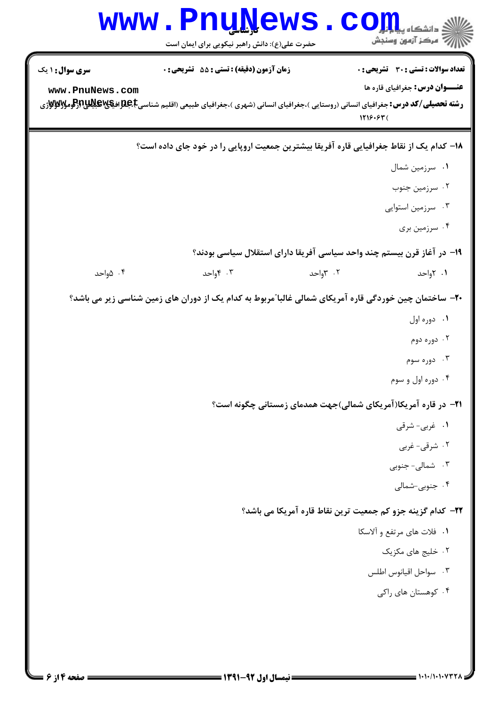| سری سوال: ۱ یک  | <b>زمان آزمون (دقیقه) : تستی : 55 تشریحی : 0</b>                                                       |          | تعداد سوالات : تستى : 30 - تشريحي : 0                      |
|-----------------|--------------------------------------------------------------------------------------------------------|----------|------------------------------------------------------------|
| www.PnuNews.com |                                                                                                        | 1719.97  | <b>عنـــوان درس:</b> جغرافیای قاره ها                      |
|                 | ۱۸– کدام یک از نقاط جغرافیایی قاره آفریقا بیشترین جمعیت اروپایی را در خود جای داده است؟                |          |                                                            |
|                 |                                                                                                        |          | ۰۱ سرزمین شمال                                             |
|                 |                                                                                                        |          | ۰۲ سرزمین جنوب                                             |
|                 |                                                                                                        |          | ۰۳ سرزمین استوایی                                          |
|                 |                                                                                                        |          | ۰۴ سرزمین بری                                              |
|                 | ۱۹– در آغاز قرن بیستم چند واحد سیاسی آفریقا دارای استقلال سیاسی بودند؟                                 |          |                                                            |
| ۰۴ ۱٫۵ مواحد    | ۰۳ واحد                                                                                                | ۰۲ ۳واحد | ۰۱ ۲واحد                                                   |
|                 | +۲- ساختمان چین خوردگی قاره آمریکای شمالی غالبا ؒمربوط به کدام یک از دوران های زمین شناسی زیر می باشد؟ |          |                                                            |
|                 |                                                                                                        |          | ۰۱ دوره اول                                                |
|                 |                                                                                                        |          | ۰۲ دوره دوم                                                |
|                 |                                                                                                        |          | ۰۳ دوره سوم                                                |
|                 |                                                                                                        |          | ۰۴ دوره اول و سوم                                          |
|                 | <b>۲۱</b> - در قاره آمریکا(آمریکای شمالی)جهت همدمای زمستانی چگونه است؟                                 |          |                                                            |
|                 |                                                                                                        |          | ۰۱ غربی- شرقی                                              |
|                 |                                                                                                        |          | ۰۲ شرقی- غربی                                              |
|                 |                                                                                                        |          | ۰۳ شمالی- جنوبی                                            |
|                 |                                                                                                        |          | ۰۴ جنوبی-شمالی                                             |
|                 |                                                                                                        |          | ٢٢- كدام گزينه جزو كم جمعيت ترين نقاط قاره آمريكا مي باشد؟ |
|                 |                                                                                                        |          | ٠١. فلات هاى مرتفع و آلاسكا                                |
|                 |                                                                                                        |          | ۰۲ خلیج های مکزیک                                          |
|                 |                                                                                                        |          | ٠٣ سواحل اقيانوس اطلس                                      |
|                 |                                                                                                        |          | ۰۴ کوهستان های راکی                                        |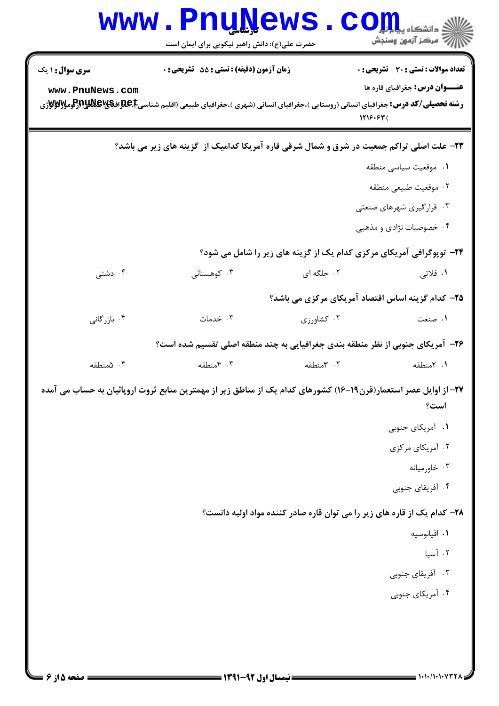|                        | <b>www.PnuNews</b><br>حضرت علی(ع): دانش راهبر نیکویی برای ایمان است                                                                                                                                  |            | COIL                                                                     |
|------------------------|------------------------------------------------------------------------------------------------------------------------------------------------------------------------------------------------------|------------|--------------------------------------------------------------------------|
| <b>سری سوال : ۱ یک</b> | زمان آزمون (دقیقه) : تستی : 55 آتشریحی : 0                                                                                                                                                           |            | <b>تعداد سوالات : تستی : 30 ٪ تشریحی : 0</b>                             |
| www.PnuNews.com        | <b>رشته تحصیلی/کد درس:</b> جغرافیای انسانی (روستایی )،جغرافیای انسانی (شهری )،جغرافیای طبیعی (اقلیم شناسیجهاللهای استان باستان بایجای استان بایجای استان بایجای استانی استانی استانی استانی است<br>. |            | <b>عنـــوان درس:</b> جغرافیای قاره ها<br>1719.97(                        |
|                        | ۲۳- علت اصلی تراکم جمعیت در شرق و شمال شرقی قاره آمریکا کدامیک از گزینه های زیر می باشد؟                                                                                                             |            |                                                                          |
|                        |                                                                                                                                                                                                      |            | ٠١ موقعيت سياسي منطقه                                                    |
|                        |                                                                                                                                                                                                      |            | ٠٢ موقعيت طبيعي منطقه                                                    |
|                        |                                                                                                                                                                                                      |            | ۰۳ قرارگیری شهرهای صنعتی                                                 |
|                        |                                                                                                                                                                                                      |            | ۰۴ خصوصیات نژادی و مذهبی                                                 |
|                        |                                                                                                                                                                                                      |            | ۲۴- توپوگرافی آمریکای مرکزی کدام یک از گزینه های زیر را شامل می شود؟     |
| ۰۴ دشتی                | ۰۳ کوهستانی                                                                                                                                                                                          | ۰۲ جلگه ای | ۰۱ فلاتی                                                                 |
|                        |                                                                                                                                                                                                      |            | ۲۵– کدام گزینه اساس اقتصاد آمریکای مرکزی می باشد؟                        |
| ۰۴ بازرگانی            | ۰۳ خدمات                                                                                                                                                                                             | ۰۲ کشاورزی | ۰۱ صنعت                                                                  |
|                        | ۲۶- آمریکای جنوبی از نظر منطقه بندی جغرافیایی به چند منطقه اصلی تقسیم شده است؟                                                                                                                       |            |                                                                          |
| ۰۴ همنطقه              | ۰۳ منطقه                                                                                                                                                                                             | ۰۲ منطقه   | ۰۱ آمنطقه                                                                |
|                        | ۲۷– از اوایل عصر استعمار(قرن۱۹–۱۶) کشورهای کدام یک از مناطق زیر از مهمترین منابع ثروت اروپائیان به حساب می آمده                                                                                      |            | است؟                                                                     |
|                        |                                                                                                                                                                                                      |            | ۰۱ آمریکای جنوبی                                                         |
|                        |                                                                                                                                                                                                      |            | ۰۲ آمریکای مرکزی                                                         |
|                        |                                                                                                                                                                                                      |            | ۰۳ خاورميانه                                                             |
|                        |                                                                                                                                                                                                      |            | ۰۴ آفریقای جنوبی                                                         |
|                        |                                                                                                                                                                                                      |            | ۲۸– کدام یک از قاره های زیر را می توان قاره صادر کننده مواد اولیه دانست؟ |
|                        |                                                                                                                                                                                                      |            | ٠١ اقيانوسيه                                                             |
|                        |                                                                                                                                                                                                      |            | ۰۲ آسيا                                                                  |
|                        |                                                                                                                                                                                                      |            | ۰۳ آفریقای جنوبی                                                         |
|                        |                                                                                                                                                                                                      |            | ۰۴ آمریکای جنوبی                                                         |
|                        |                                                                                                                                                                                                      |            |                                                                          |
|                        |                                                                                                                                                                                                      |            |                                                                          |